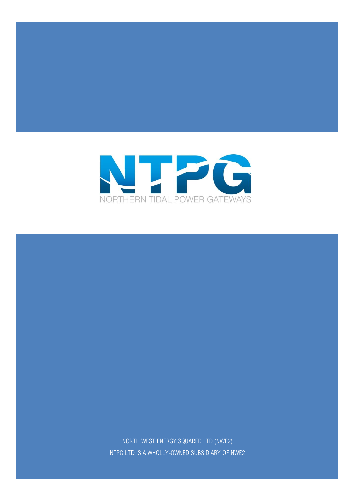

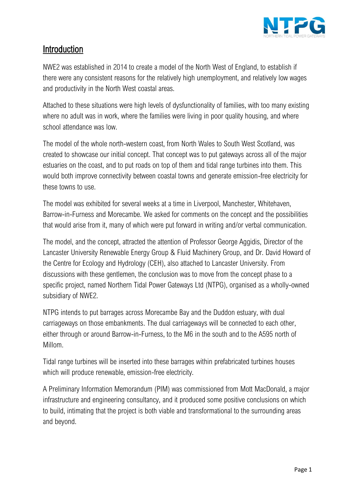

# Introduction

NWE2 was established in 2014 to create a model of the North West of England, to establish if there were any consistent reasons for the relatively high unemployment, and relatively low wages and productivity in the North West coastal areas.

Attached to these situations were high levels of dysfunctionality of families, with too many existing where no adult was in work, where the families were living in poor quality housing, and where school attendance was low.

The model of the whole north-western coast, from North Wales to South West Scotland, was created to showcase our initial concept. That concept was to put gateways across all of the major estuaries on the coast, and to put roads on top of them and tidal range turbines into them. This would both improve connectivity between coastal towns and generate emission-free electricity for these towns to use.

The model was exhibited for several weeks at a time in Liverpool, Manchester, Whitehaven, Barrow-in-Furness and Morecambe. We asked for comments on the concept and the possibilities that would arise from it, many of which were put forward in writing and/or verbal communication.

The model, and the concept, attracted the attention of Professor George Aggidis, Director of the Lancaster University Renewable Energy Group & Fluid Machinery Group, and Dr. David Howard of the Centre for Ecology and Hydrology (CEH), also attached to Lancaster University. From discussions with these gentlemen, the conclusion was to move from the concept phase to a specific project, named Northern Tidal Power Gateways Ltd (NTPG), organised as a wholly-owned subsidiary of NWE2.

NTPG intends to put barrages across Morecambe Bay and the Duddon estuary, with dual carriageways on those embankments. The dual carriageways will be connected to each other, either through or around Barrow-in-Furness, to the M6 in the south and to the A595 north of Millom.

Tidal range turbines will be inserted into these barrages within prefabricated turbines houses which will produce renewable, emission-free electricity.

A Preliminary Information Memorandum (PIM) was commissioned from Mott MacDonald, a major infrastructure and engineering consultancy, and it produced some positive conclusions on which to build, intimating that the project is both viable and transformational to the surrounding areas and beyond.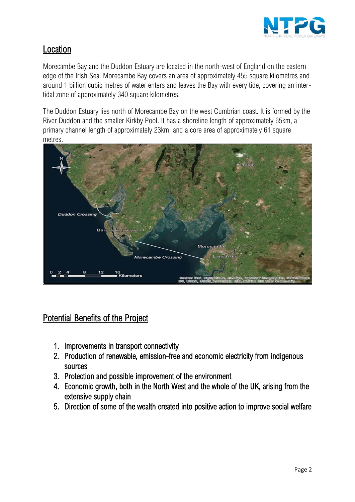

# Location

Morecambe Bay and the Duddon Estuary are located in the north-west of England on the eastern edge of the Irish Sea. Morecambe Bay covers an area of approximately 455 square kilometres and around 1 billion cubic metres of water enters and leaves the Bay with every tide, covering an intertidal zone of approximately 340 square kilometres.

The Duddon Estuary lies north of Morecambe Bay on the west Cumbrian coast. It is formed by the River Duddon and the smaller Kirkby Pool. It has a shoreline length of approximately 65km, a primary channel length of approximately 23km, and a core area of approximately 61 square metres.



# **Potential Benefits of the Project**

- 1. Improvements in transport connectivity
- 2. Production of renewable, emission-free and economic electricity from indigenous sources
- 3. Protection and possible improvement of the environment
- 4. Economic growth, both in the North West and the whole of the UK, arising from the extensive supply chain
- 5. Direction of some of the wealth created into positive action to improve social welfare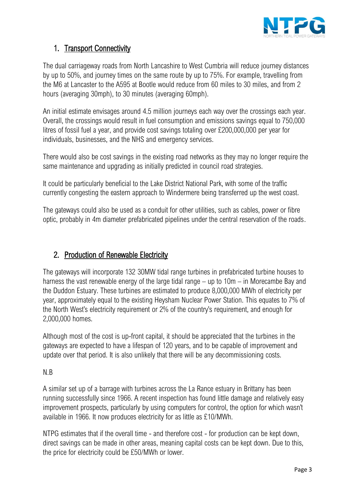

## 1. Transport Connectivity

The dual carriageway roads from North Lancashire to West Cumbria will reduce journey distances by up to 50%, and journey times on the same route by up to 75%. For example, travelling from the M6 at Lancaster to the A595 at Bootle would reduce from 60 miles to 30 miles, and from 2 hours (averaging 30mph), to 30 minutes (averaging 60mph).

An initial estimate envisages around 4.5 million journeys each way over the crossings each year. Overall, the crossings would result in fuel consumption and emissions savings equal to 750,000 litres of fossil fuel a year, and provide cost savings totaling over £200,000,000 per year for individuals, businesses, and the NHS and emergency services.

There would also be cost savings in the existing road networks as they may no longer require the same maintenance and upgrading as initially predicted in council road strategies.

It could be particularly beneficial to the Lake District National Park, with some of the traffic currently congesting the eastern approach to Windermere being transferred up the west coast.

The gateways could also be used as a conduit for other utilities, such as cables, power or fibre optic, probably in 4m diameter prefabricated pipelines under the central reservation of the roads.

## 2. Production of Renewable Electricity

The gateways will incorporate 132 30MW tidal range turbines in prefabricated turbine houses to harness the vast renewable energy of the large tidal range – up to 10m – in Morecambe Bay and the Duddon Estuary. These turbines are estimated to produce 8,000,000 MWh of electricity per year, approximately equal to the existing Heysham Nuclear Power Station. This equates to 7% of the North West's electricity requirement or 2% of the country's requirement, and enough for 2,000,000 homes.

Although most of the cost is up-front capital, it should be appreciated that the turbines in the gateways are expected to have a lifespan of 120 years, and to be capable of improvement and update over that period. It is also unlikely that there will be any decommissioning costs.

## N.B

A similar set up of a barrage with turbines across the La Rance estuary in Brittany has been running successfully since 1966. A recent inspection has found little damage and relatively easy improvement prospects, particularly by using computers for control, the option for which wasn't available in 1966. It now produces electricity for as little as £10/MWh.

NTPG estimates that if the overall time - and therefore cost - for production can be kept down, direct savings can be made in other areas, meaning capital costs can be kept down. Due to this, the price for electricity could be £50/MWh or lower.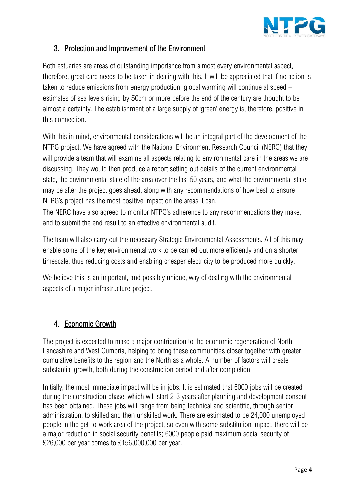

## 3. Protection and Improvement of the Environment

Both estuaries are areas of outstanding importance from almost every environmental aspect, therefore, great care needs to be taken in dealing with this. It will be appreciated that if no action is taken to reduce emissions from energy production, global warming will continue at speed – estimates of sea levels rising by 50cm or more before the end of the century are thought to be almost a certainty. The establishment of a large supply of 'green' energy is, therefore, positive in this connection.

With this in mind, environmental considerations will be an integral part of the development of the NTPG project. We have agreed with the National Environment Research Council (NERC) that they will provide a team that will examine all aspects relating to environmental care in the areas we are discussing. They would then produce a report setting out details of the current environmental state, the environmental state of the area over the last 50 years, and what the environmental state may be after the project goes ahead, along with any recommendations of how best to ensure NTPG's project has the most positive impact on the areas it can.

The NERC have also agreed to monitor NTPG's adherence to any recommendations they make, and to submit the end result to an effective environmental audit.

The team will also carry out the necessary Strategic Environmental Assessments. All of this may enable some of the key environmental work to be carried out more efficiently and on a shorter timescale, thus reducing costs and enabling cheaper electricity to be produced more quickly.

We believe this is an important, and possibly unique, way of dealing with the environmental aspects of a major infrastructure project.

# 4. Economic Growth

The project is expected to make a major contribution to the economic regeneration of North Lancashire and West Cumbria, helping to bring these communities closer together with greater cumulative benefits to the region and the North as a whole. A number of factors will create substantial growth, both during the construction period and after completion.

Initially, the most immediate impact will be in jobs. It is estimated that 6000 jobs will be created during the construction phase, which will start 2-3 years after planning and development consent has been obtained. These jobs will range from being technical and scientific, through senior administration, to skilled and then unskilled work. There are estimated to be 24,000 unemployed people in the get-to-work area of the project, so even with some substitution impact, there will be a major reduction in social security benefits; 6000 people paid maximum social security of £26,000 per year comes to £156,000,000 per year.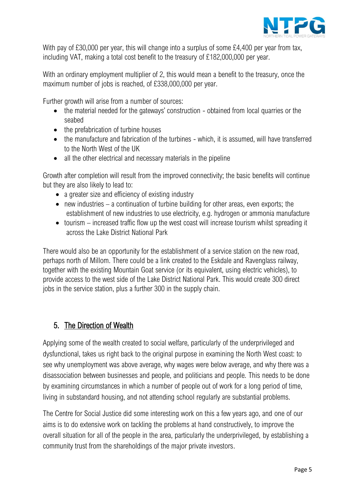

With pay of £30,000 per year, this will change into a surplus of some £4,400 per year from tax, including VAT, making a total cost benefit to the treasury of £182,000,000 per year.

With an ordinary employment multiplier of 2, this would mean a benefit to the treasury, once the maximum number of jobs is reached, of £338,000,000 per year.

Further growth will arise from a number of sources:

- the material needed for the gateways' construction obtained from local quarries or the seabed
- the prefabrication of turbine houses
- the manufacture and fabrication of the turbines which, it is assumed, will have transferred to the North West of the UK
- all the other electrical and necessary materials in the pipeline

Growth after completion will result from the improved connectivity; the basic benefits will continue but they are also likely to lead to:

- a greater size and efficiency of existing industry
- new industries a continuation of turbine building for other areas, even exports; the establishment of new industries to use electricity, e.g. hydrogen or ammonia manufacture
- tourism increased traffic flow up the west coast will increase tourism whilst spreading it across the Lake District National Park

There would also be an opportunity for the establishment of a service station on the new road, perhaps north of Millom. There could be a link created to the Eskdale and Ravenglass railway, together with the existing Mountain Goat service (or its equivalent, using electric vehicles), to provide access to the west side of the Lake District National Park. This would create 300 direct jobs in the service station, plus a further 300 in the supply chain.

# 5. The Direction of Wealth

Applying some of the wealth created to social welfare, particularly of the underprivileged and dysfunctional, takes us right back to the original purpose in examining the North West coast: to see why unemployment was above average, why wages were below average, and why there was a disassociation between businesses and people, and politicians and people. This needs to be done by examining circumstances in which a number of people out of work for a long period of time, living in substandard housing, and not attending school regularly are substantial problems.

The Centre for Social Justice did some interesting work on this a few years ago, and one of our aims is to do extensive work on tackling the problems at hand constructively, to improve the overall situation for all of the people in the area, particularly the underprivileged, by establishing a community trust from the shareholdings of the major private investors.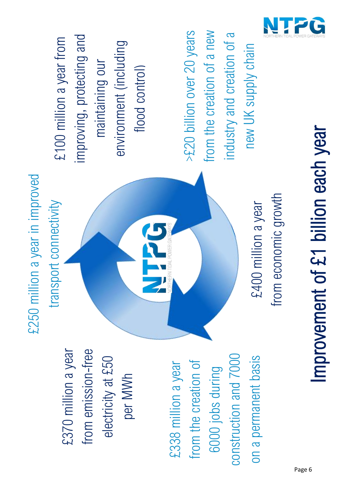

# Improvement of £1 billion each year Improvement of £1 billion each year

>£20 billion over 20 years from the creation of a new >£20 billion over 20 years from the creation of a new industry and creation of a industry and creation of a new UK supply chain new UK supply chain

improving, protecting and £100 million a year from improving, protecting and £100 million a year from environment (including environment (including maintaining our maintaining our flood control)

from emission

from economic growth from economic growth £400 million a year £400 million a year



per MWh

£370 million a year<br>from emission-free<br>electricity at £50<br>per MWh<br>£338 million a year construction and 7000 construction and 7000 on a permanent basis from the creation of on a permanent basis from the creation of 6000 jobs during 6000 jobs during

Page 6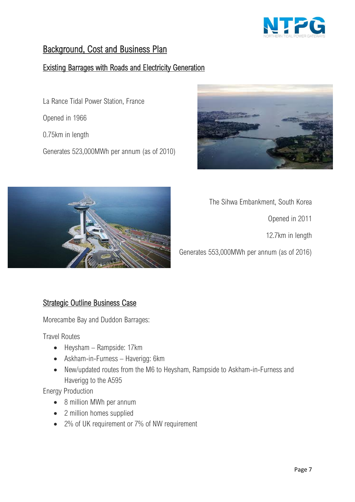

# Background, Cost and Business Plan

## Existing Barrages with Roads and Electricity Generation

La Rance Tidal Power Station, France

Opened in 1966

0.75km in length

Generates 523,000MWh per annum (as of 2010)





The Sihwa Embankment, South Korea

Opened in 2011

12.7km in length

Generates 553,000MWh per annum (as of 2016)

## Strategic Outline Business Case

Morecambe Bay and Duddon Barrages:

Travel Routes

- Heysham Rampside: 17km
- Askham-in-Furness Haverigg: 6km
- New/updated routes from the M6 to Heysham, Rampside to Askham-in-Furness and Haverigg to the A595

Energy Production

- 8 million MWh per annum
- 2 million homes supplied
- 2% of UK requirement or 7% of NW requirement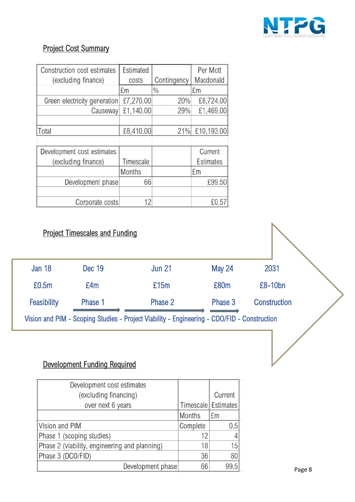

# Project Cost Summary

| Construction cost estimates<br>(excluding finance) | Estimated<br>costs | Contingency   | Per Mott<br>Macdonald |
|----------------------------------------------------|--------------------|---------------|-----------------------|
|                                                    | £m                 | $\frac{0}{0}$ | £m                    |
| Green electricity generation                       | £7,270.00          | 20%           | £8,724.00             |
| Causeway                                           | £1,140.00          | 29%           | £1,469.00             |
|                                                    |                    |               |                       |
| Total                                              | £8,410.00          | 21%           | £10,193.00            |
|                                                    |                    |               |                       |
| Development cost estimates                         |                    |               | Current               |
| (excluding finance)                                | Timescale          |               | <b>Estimates</b>      |
|                                                    | <b>Months</b>      |               | £m                    |
| Development phase                                  | 66                 |               | £99.50                |
|                                                    |                    |               |                       |
| Corporate costs                                    | 12                 |               | £0.57                 |

# **Project Timescales and Funding**

| <b>Jan 18</b> | <b>Dec 19</b> | <b>Jun 21</b>                                                                               | <b>May 24</b> | 2031                |  |
|---------------|---------------|---------------------------------------------------------------------------------------------|---------------|---------------------|--|
| £0.5m         | £4m           | £15m                                                                                        | £80m          | $£8-10bn$           |  |
| Feasibility   | Phase 1       | Phase 2                                                                                     | Phase 3       | <b>Construction</b> |  |
|               |               | Vision and PIM - Scoping Studies - Project Viability - Engineering - CDO/FID - Construction |               |                     |  |
|               |               |                                                                                             |               |                     |  |

# Development Funding Required

| Development cost estimates                    |                       |                |
|-----------------------------------------------|-----------------------|----------------|
| (excluding financing)                         |                       | Current        |
| over next 6 years                             | Timescale   Estimates |                |
|                                               | <b>Months</b>         | E <sub>m</sub> |
| <b>Vision and PIM</b>                         | Complete              | 0.5            |
| Phase 1 (scoping studies)                     | 12                    |                |
| Phase 2 (viability, engineering and planning) | 18                    | 15             |
| Phase 3 (DCO/FID)                             | 36                    | 80             |
| Development phase                             | 66                    | 99.5           |